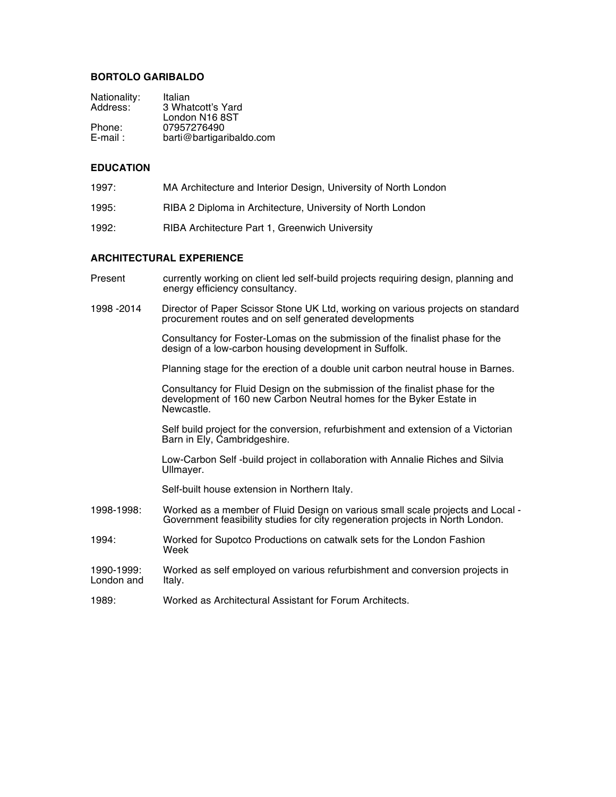## **BORTOLO GARIBALDO**

| Italian                  |
|--------------------------|
| 3 Whatcott's Yard        |
| London N16 8ST           |
| 07957276490              |
| barti@bartigaribaldo.com |
|                          |

## **EDUCATION**

- 1997: MA Architecture and Interior Design, University of North London
- 1995: RIBA 2 Diploma in Architecture, University of North London
- 1992: RIBA Architecture Part 1, Greenwich University

#### **ARCHITECTURAL EXPERIENCE**

| Present                  | currently working on client led self-build projects requiring design, planning and<br>energy efficiency consultancy.                                              |
|--------------------------|-------------------------------------------------------------------------------------------------------------------------------------------------------------------|
| 1998 - 2014              | Director of Paper Scissor Stone UK Ltd, working on various projects on standard<br>procurement routes and on self generated developments                          |
|                          | Consultancy for Foster-Lomas on the submission of the finalist phase for the<br>design of a low-carbon housing development in Suffolk.                            |
|                          | Planning stage for the erection of a double unit carbon neutral house in Barnes.                                                                                  |
|                          | Consultancy for Fluid Design on the submission of the finalist phase for the<br>development of 160 new Carbon Neutral homes for the Byker Estate in<br>Newcastle. |
|                          | Self build project for the conversion, refurbishment and extension of a Victorian<br>Barn in Ely, Cambridgeshire.                                                 |
|                          | Low-Carbon Self -build project in collaboration with Annalie Riches and Silvia<br>Ullmayer.                                                                       |
|                          | Self-built house extension in Northern Italy.                                                                                                                     |
| 1998-1998:               | Worked as a member of Fluid Design on various small scale projects and Local -<br>Government feasibility studies for city regeneration projects in North London.  |
| 1994:                    | Worked for Supotco Productions on catwalk sets for the London Fashion<br>Week                                                                                     |
| 1990-1999:<br>London and | Worked as self employed on various refurbishment and conversion projects in<br>Italy.                                                                             |
| 1989:                    | Worked as Architectural Assistant for Forum Architects.                                                                                                           |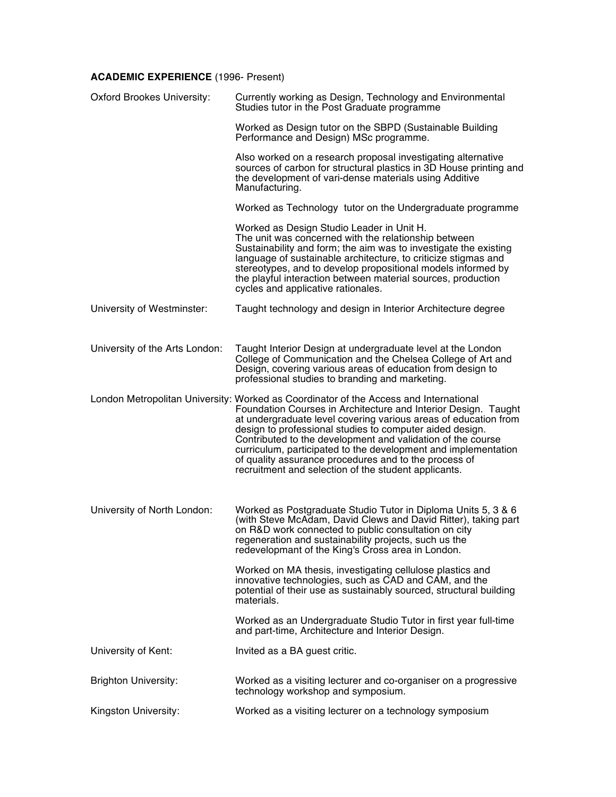# **ACADEMIC EXPERIENCE** (1996- Present)

| <b>Oxford Brookes University:</b> | Currently working as Design, Technology and Environmental<br>Studies tutor in the Post Graduate programme                                                                                                                                                                                                                                                                                                                                                                                                                                |
|-----------------------------------|------------------------------------------------------------------------------------------------------------------------------------------------------------------------------------------------------------------------------------------------------------------------------------------------------------------------------------------------------------------------------------------------------------------------------------------------------------------------------------------------------------------------------------------|
|                                   | Worked as Design tutor on the SBPD (Sustainable Building<br>Performance and Design) MSc programme.                                                                                                                                                                                                                                                                                                                                                                                                                                       |
|                                   | Also worked on a research proposal investigating alternative<br>sources of carbon for structural plastics in 3D House printing and<br>the development of vari-dense materials using Additive<br>Manufacturing.                                                                                                                                                                                                                                                                                                                           |
|                                   | Worked as Technology tutor on the Undergraduate programme                                                                                                                                                                                                                                                                                                                                                                                                                                                                                |
|                                   | Worked as Design Studio Leader in Unit H.<br>The unit was concerned with the relationship between<br>Sustainability and form; the aim was to investigate the existing<br>language of sustainable architecture, to criticize stigmas and<br>stereotypes, and to develop propositional models informed by<br>the playful interaction between material sources, production<br>cycles and applicative rationales.                                                                                                                            |
| University of Westminster:        | Taught technology and design in Interior Architecture degree                                                                                                                                                                                                                                                                                                                                                                                                                                                                             |
| University of the Arts London:    | Taught Interior Design at undergraduate level at the London<br>College of Communication and the Chelsea College of Art and<br>Design, covering various areas of education from design to<br>professional studies to branding and marketing.                                                                                                                                                                                                                                                                                              |
|                                   | London Metropolitan University: Worked as Coordinator of the Access and International<br>Foundation Courses in Architecture and Interior Design. Taught<br>at undergraduate level covering various areas of education from<br>design to professional studies to computer aided design.<br>Contributed to the development and validation of the course<br>curriculum, participated to the development and implementation<br>of quality assurance procedures and to the process of<br>recruitment and selection of the student applicants. |
| University of North London:       | Worked as Postgraduate Studio Tutor in Diploma Units 5, 3 & 6<br>(with Steve McAdam, David Clews and David Ritter), taking part<br>on R&D work connected to public consultation on city<br>regeneration and sustainability projects, such us the<br>redevelopmant of the King's Cross area in London.                                                                                                                                                                                                                                    |
|                                   | Worked on MA thesis, investigating cellulose plastics and<br>innovative technologies, such as CAD and CAM, and the<br>potential of their use as sustainably sourced, structural building<br>materials.                                                                                                                                                                                                                                                                                                                                   |
|                                   | Worked as an Undergraduate Studio Tutor in first year full-time<br>and part-time, Architecture and Interior Design.                                                                                                                                                                                                                                                                                                                                                                                                                      |
| University of Kent:               | Invited as a BA guest critic.                                                                                                                                                                                                                                                                                                                                                                                                                                                                                                            |
| <b>Brighton University:</b>       | Worked as a visiting lecturer and co-organiser on a progressive<br>technology workshop and symposium.                                                                                                                                                                                                                                                                                                                                                                                                                                    |
| Kingston University:              | Worked as a visiting lecturer on a technology symposium                                                                                                                                                                                                                                                                                                                                                                                                                                                                                  |